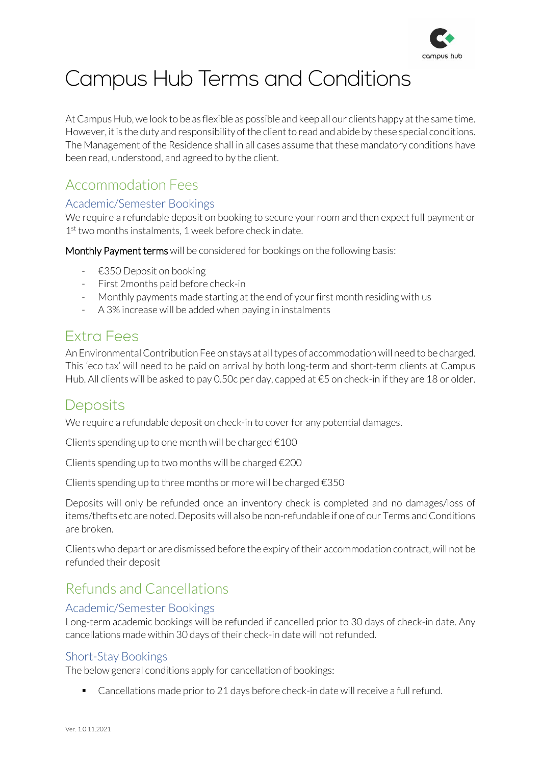

# Campus Hub Terms and Conditions

At Campus Hub, we look to be as flexible as possible and keep all our clients happy at the same time. However, it is the duty and responsibility of the client to read and abide by these special conditions. The Management of the Residence shall in all cases assume that these mandatory conditions have been read, understood, and agreed to by the client.

# Accommodation Fees

#### Academic/Semester Bookings

We require a refundable deposit on booking to secure your room and then expect full payment or 1<sup>st</sup> two months instalments, 1 week before check in date.

Monthly Payment terms will be considered for bookings on the following basis:

- €350 Deposit on booking
- First 2months paid before check-in
- Monthly payments made starting at the end of your first month residing with us
- A 3% increase will be added when paying in instalments

# **Extra Fees**

An Environmental Contribution Fee on stays at all types of accommodation will need to be charged. This 'eco tax' will need to be paid on arrival by both long-term and short-term clients at Campus Hub. All clients will be asked to pay 0.50c per day, capped at €5 on check-in if they are 18 or older.

# Deposits

We require a refundable deposit on check-in to cover for any potential damages.

Clients spending up to one month will be charged  $\epsilon$ 100

Clients spending up to two months will be charged  $\epsilon$ 200

Clients spending up to three months or more will be charged  $\epsilon$ 350

Deposits will only be refunded once an inventory check is completed and no damages/loss of items/thefts etc are noted. Deposits will also be non-refundable if one of our Terms and Conditions are broken.

Clients who depart or are dismissed before the expiry of their accommodation contract, will not be refunded their deposit

# Refunds and Cancellations

### Academic/Semester Bookings

Long-term academic bookings will be refunded if cancelled prior to 30 days of check-in date. Any cancellations made within 30 days of their check-in date will notrefunded.

#### Short-Stay Bookings

The below general conditions apply for cancellation of bookings:

Cancellations made prior to 21 days before check-in date will receive a full refund.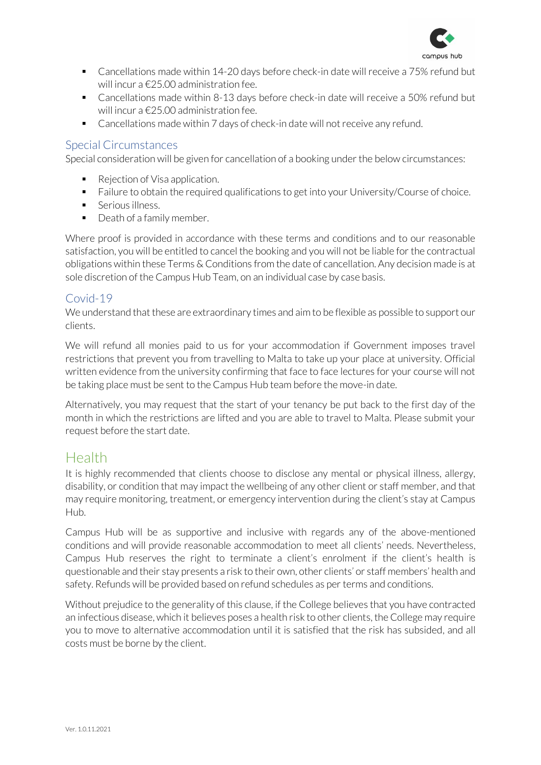

- Cancellations made within 14-20 days before check-in date will receive a 75% refund but will incur a €25.00 administration fee.
- Cancellations made within 8-13 days before check-in date will receive a 50% refund but will incur a €25.00 administration fee.
- Cancellations made within 7 days of check-in date will not receive any refund.

#### Special Circumstances

Special consideration will be given for cancellation of a booking under the below circumstances:

- Rejection of Visa application.
- Failure to obtain the required qualifications to get into your University/Course of choice.
- Serious illness.
- Death of a family member.

Where proof is provided in accordance with these terms and conditions and to our reasonable satisfaction, you will be entitled to cancel the booking and you will not be liable for the contractual obligations within these Terms & Conditions from the date of cancellation. Any decision made is at sole discretion of the Campus Hub Team, on an individual case by case basis.

#### Covid-19

We understand that these are extraordinary times and aim to be flexible as possible to support our clients.

We will refund all monies paid to us for your accommodation if Government imposes travel restrictions that prevent you from travelling to Malta to take up your place at university. Official written evidence from the university confirming that face to face lectures for your course will not be taking place must be sent to the Campus Hub team before the move-in date.

Alternatively, you may request that the start of your tenancy be put back to the first day of the month in which the restrictions are lifted and you are able to travel to Malta. Please submit your request before the start date.

### Health

It is highly recommended that clients choose to disclose any mental or physical illness, allergy, disability, or condition that may impact the wellbeing of any other client or staff member, and that may require monitoring, treatment, or emergency intervention during the client's stay at Campus Hub.

Campus Hub will be as supportive and inclusive with regards any of the above-mentioned conditions and will provide reasonable accommodation to meet all clients' needs. Nevertheless, Campus Hub reserves the right to terminate a client's enrolment if the client's health is questionable and their stay presents a risk to their own, other clients' or staff members' health and safety. Refunds will be provided based on refund schedules as per terms and conditions.

Without prejudice to the generality of this clause, if the College believes that you have contracted an infectious disease, which it believes poses a health risk to other clients, the College may require you to move to alternative accommodation until it is satisfied that the risk has subsided, and all costs must be borne by the client.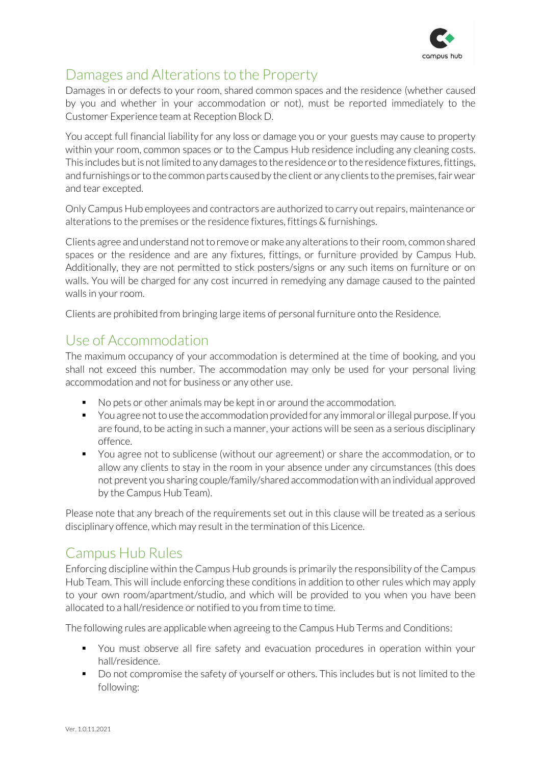

# Damages and Alterations to the Property

Damages in or defects to your room, shared common spaces and the residence (whether caused by you and whether in your accommodation or not), must be reported immediately to the Customer Experience team at Reception Block D.

You accept full financial liability for any loss or damage you or your guests may cause to property within your room, common spaces or to the Campus Hub residence including any cleaning costs. This includes but is not limited to any damages to the residence or to the residence fixtures, fittings, and furnishings or to the common parts caused by the client or any clients to the premises, fair wear and tear excepted.

Only Campus Hub employees and contractors are authorized to carry out repairs, maintenance or alterations to the premises or the residence fixtures, fittings & furnishings.

Clients agree and understand not to remove or make any alterations to their room, common shared spaces or the residence and are any fixtures, fittings, or furniture provided by Campus Hub. Additionally, they are not permitted to stick posters/signs or any such items on furniture or on walls. You will be charged for any cost incurred in remedying any damage caused to the painted walls in your room.

Clients are prohibited from bringing large items of personal furniture onto the Residence.

# Use of Accommodation

The maximum occupancy of your accommodation is determined at the time of booking, and you shall not exceed this number. The accommodation may only be used for your personal living accommodation and not for business or any other use.

- No pets or other animals may be kept in or around the accommodation.
- You agree not to use the accommodation provided for any immoral or illegal purpose. If you are found, to be acting in such a manner, your actions will be seen as a serious disciplinary offence.
- You agree not to sublicense (without our agreement) or share the accommodation, or to allow any clients to stay in the room in your absence under any circumstances (this does not prevent you sharing couple/family/shared accommodation with an individual approved by the Campus Hub Team).

Please note that any breach of the requirements set out in this clause will be treated as a serious disciplinary offence, which may result in the termination of this Licence.

# Campus Hub Rules

Enforcing discipline within the Campus Hub grounds is primarily the responsibility of the Campus Hub Team. This will include enforcing these conditions in addition to other rules which may apply to your own room/apartment/studio, and which will be provided to you when you have been allocated to a hall/residence or notified to you from time to time.

The following rules are applicable when agreeing to the Campus Hub Terms and Conditions:

- You must observe all fire safety and evacuation procedures in operation within your hall/residence.
- Do not compromise the safety of yourself or others. This includes but is not limited to the following: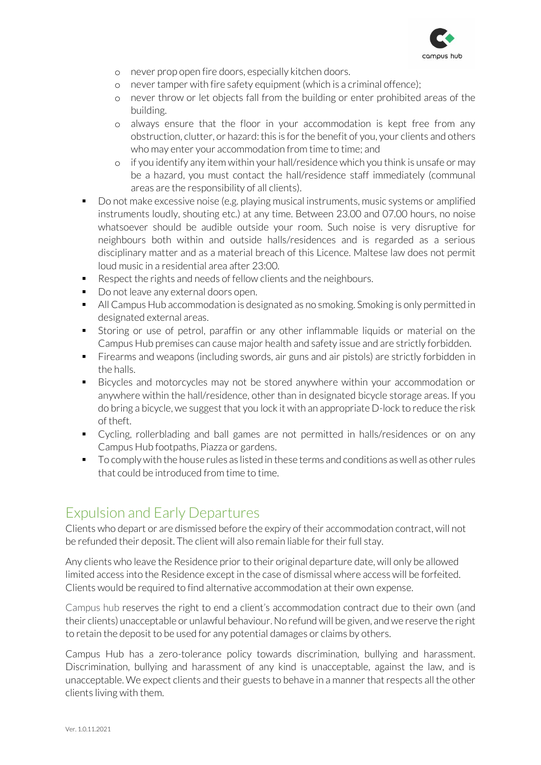

- o never prop open fire doors, especially kitchen doors.
- o never tamper with fire safety equipment (which is a criminal offence);
- o never throw or let objects fall from the building or enter prohibited areas of the building.
- o always ensure that the floor in your accommodation is kept free from any obstruction, clutter, or hazard: this is for the benefit of you, your clients and others who may enter your accommodation from time to time; and
- o if you identify any item within your hall/residence which you think is unsafe or may be a hazard, you must contact the hall/residence staff immediately (communal areas are the responsibility of all clients).
- Do not make excessive noise (e.g. playing musical instruments, music systems or amplified instruments loudly, shouting etc.) at any time. Between 23.00 and 07.00 hours, no noise whatsoever should be audible outside your room. Such noise is very disruptive for neighbours both within and outside halls/residences and is regarded as a serious disciplinary matter and as a material breach of this Licence. Maltese law does not permit loud music in a residential area after 23:00.
- Respect the rights and needs of fellow clients and the neighbours.
- Do not leave any external doors open.
- **•** All Campus Hub accommodation is designated as no smoking. Smoking is only permitted in designated external areas.
- Storing or use of petrol, paraffin or any other inflammable liquids or material on the Campus Hub premises can cause major health and safety issue and are strictly forbidden.
- **•** Firearms and weapons (including swords, air guns and air pistols) are strictly forbidden in the halls.
- Bicycles and motorcycles may not be stored anywhere within your accommodation or anywhere within the hall/residence, other than in designated bicycle storage areas. If you do bring a bicycle, we suggest that you lock it with an appropriate D-lock to reduce the risk of theft.
- Cycling, rollerblading and ball games are not permitted in halls/residences or on any Campus Hub footpaths, Piazza or gardens.
- To comply with the house rules as listed in these terms and conditions as well as other rules that could be introduced from time to time.

# Expulsion and Early Departures

Clients who depart or are dismissed before the expiry of their accommodation contract, will not be refunded their deposit. The client will also remain liable for their full stay.

Any clients who leave the Residence prior to their original departure date, will only be allowed limited access into the Residence except in the case of dismissal where access will be forfeited. Clients would be required to find alternative accommodation at their own expense.

Campus hub reserves the right to end a client's accommodation contract due to their own (and their clients) unacceptable or unlawful behaviour. No refund will be given, and we reserve the right to retain the deposit to be used for any potential damages or claims by others.

Campus Hub has a zero-tolerance policy towards discrimination, bullying and harassment. Discrimination, bullying and harassment of any kind is unacceptable, against the law, and is unacceptable. We expect clients and their guests to behave in a manner that respects all the other clients living with them.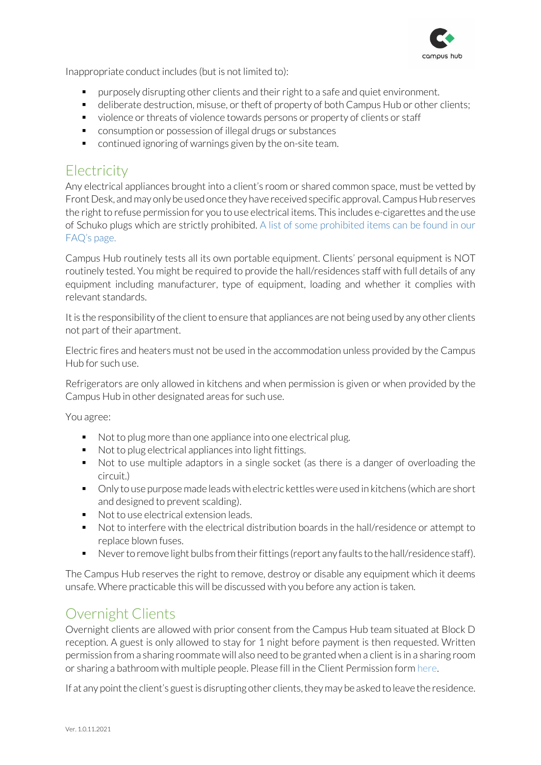

Inappropriate conduct includes (but is not limited to):

- purposely disrupting other clients and their right to a safe and quiet environment.
- deliberate destruction, misuse, or theft of property of both Campus Hub or other clients;
- violence or threats of violence towards persons or property of clients or staff
- consumption or possession of illegal drugs or substances
- continued ignoring of warnings given by the on-site team.

# **Electricity**

Any electrical appliances brought into a client's room or shared common space, must be vetted by Front Desk, and may only be used once they have received specific approval. Campus Hub reserves the right to refuse permission for you to use electrical items. This includes e-cigarettes and the use of Schuko plugs which are strictly prohibited. A list of some prohibited items can be found in our FAQ's page.

Campus Hub routinely tests all its own portable equipment. Clients' personal equipment is NOT routinely tested. You might be required to provide the hall/residences staff with full details of any equipment including manufacturer, type of equipment, loading and whether it complies with relevant standards.

It is the responsibility of the client to ensure that appliances are not being used by any other clients not part of their apartment.

Electric fires and heaters must not be used in the accommodation unless provided by the Campus Hub for such use.

Refrigerators are only allowed in kitchens and when permission is given or when provided by the Campus Hub in other designated areas for such use.

You agree:

- Not to plug more than one appliance into one electrical plug.
- Not to plug electrical appliances into light fittings.
- Not to use multiple adaptors in a single socket (as there is a danger of overloading the circuit.)
- Only to use purpose made leads with electric kettles were used in kitchens (which are short and designed to prevent scalding).
- Not to use electrical extension leads.
- Not to interfere with the electrical distribution boards in the hall/residence or attempt to replace blown fuses.
- Never to remove light bulbs from their fittings (report any faults to the hall/residence staff).

The Campus Hub reserves the right to remove, destroy or disable any equipment which it deems unsafe. Where practicable this will be discussed with you before any action is taken.

# Overnight Clients

Overnight clients are allowed with prior consent from the Campus Hub team situated at Block D reception. A guest is only allowed to stay for 1 night before payment is then requested. Written permission from a sharing roommate will also need to be granted when a clientis in a sharing room or sharing a bathroom with multiple people. Please fill in the Client Permission form here.

If at any point the client's guestis disrupting other clients,they may be asked to leave the residence.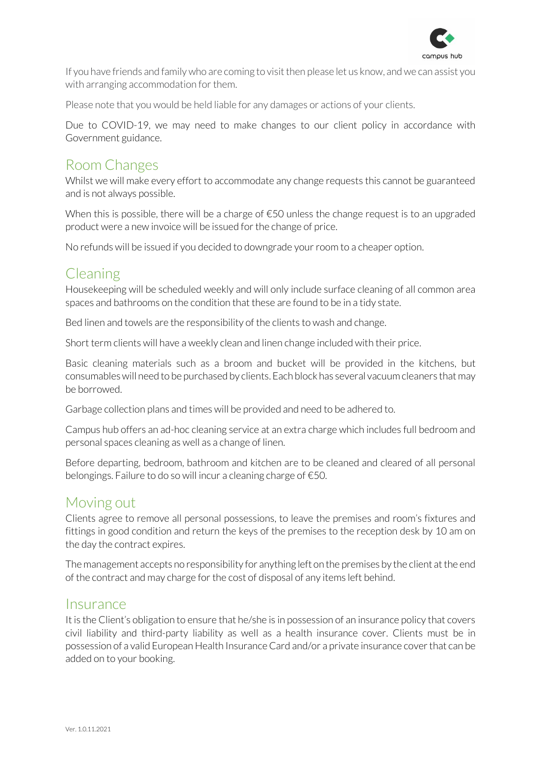

If you have friends and family who are coming to visit then please let us know, and we can assist you with arranging accommodation for them.

Please note that you would be held liable for any damages or actions of your clients.

Due to COVID-19, we may need to make changes to our client policy in accordance with Government guidance.

### Room Changes

Whilst we will make every effort to accommodate any change requests this cannot be guaranteed and is not always possible.

When this is possible, there will be a charge of  $\epsilon$ 50 unless the change request is to an upgraded product were a new invoice will be issued for the change of price.

No refunds will be issued if you decided to downgrade your room to a cheaper option.

### **Cleaning**

Housekeeping will be scheduled weekly and will only include surface cleaning of all common area spaces and bathrooms on the condition that these are found to be in a tidy state.

Bed linen and towels are the responsibility of the clients to wash and change.

Short term clients will have a weekly clean and linen change included with their price.

Basic cleaning materials such as a broom and bucket will be provided in the kitchens, but consumables will need to be purchased by clients. Each block has several vacuum cleaners that may be borrowed.

Garbage collection plans and times will be provided and need to be adhered to.

Campus hub offers an ad-hoc cleaning service at an extra charge which includes full bedroom and personal spaces cleaning as well as a change of linen.

Before departing, bedroom, bathroom and kitchen are to be cleaned and cleared of all personal belongings. Failure to do so will incur a cleaning charge of €50.

# Moving out

Clients agree to remove all personal possessions, to leave the premises and room's fixtures and fittings in good condition and return the keys of the premises to the reception desk by 10 am on the day the contract expires.

The management accepts no responsibility for anything left on the premises by the client at the end of the contract and may charge for the cost of disposal of any items left behind.

### **Insurance**

It is the Client's obligation to ensure that he/she is in possession of an insurance policy that covers civil liability and third-party liability as well as a health insurance cover. Clients must be in possession of a valid European Health Insurance Card and/or a private insurance cover that can be added on to your booking.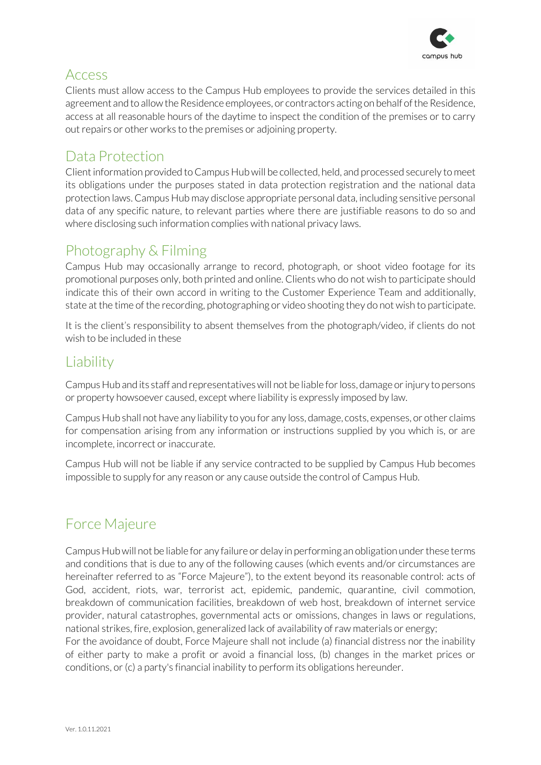

### Access

Clients must allow access to the Campus Hub employees to provide the services detailed in this agreement and to allow the Residence employees, or contractors acting on behalf of the Residence, access at all reasonable hours of the daytime to inspect the condition of the premises or to carry out repairs or other works to the premises or adjoining property.

### Data Protection

Client information provided to Campus Hub will be collected, held, and processed securely to meet its obligations under the purposes stated in data protection registration and the national data protection laws. Campus Hub may disclose appropriate personal data, including sensitive personal data of any specific nature, to relevant parties where there are justifiable reasons to do so and where disclosing such information complies with national privacy laws.

# Photography & Filming

Campus Hub may occasionally arrange to record, photograph, or shoot video footage for its promotional purposes only, both printed and online. Clients who do not wish to participate should indicate this of their own accord in writing to the Customer Experience Team and additionally, state at the time of the recording, photographing or video shooting they do not wish to participate.

It is the client's responsibility to absent themselves from the photograph/video, if clients do not wish to be included in these

# **Liability**

Campus Hub and its staff and representatives will not be liable for loss, damage or injury to persons or property howsoever caused, except where liability is expressly imposed by law.

Campus Hub shall not have any liability to you for any loss, damage, costs, expenses, or other claims for compensation arising from any information or instructions supplied by you which is, or are incomplete, incorrect or inaccurate.

Campus Hub will not be liable if any service contracted to be supplied by Campus Hub becomes impossible to supply for any reason or any cause outside the control of Campus Hub.

# Force Majeure

Campus Hub will not be liable for any failure or delay in performing an obligation under these terms and conditions that is due to any of the following causes (which events and/or circumstances are hereinafter referred to as "Force Majeure"), to the extent beyond its reasonable control: acts of God, accident, riots, war, terrorist act, epidemic, pandemic, quarantine, civil commotion, breakdown of communication facilities, breakdown of web host, breakdown of internet service provider, natural catastrophes, governmental acts or omissions, changes in laws or regulations, national strikes, fire, explosion, generalized lack of availability of raw materials or energy;

For the avoidance of doubt, Force Majeure shall not include (a) financial distress nor the inability of either party to make a profit or avoid a financial loss, (b) changes in the market prices or conditions, or (c) a party's financial inability to perform its obligations hereunder.